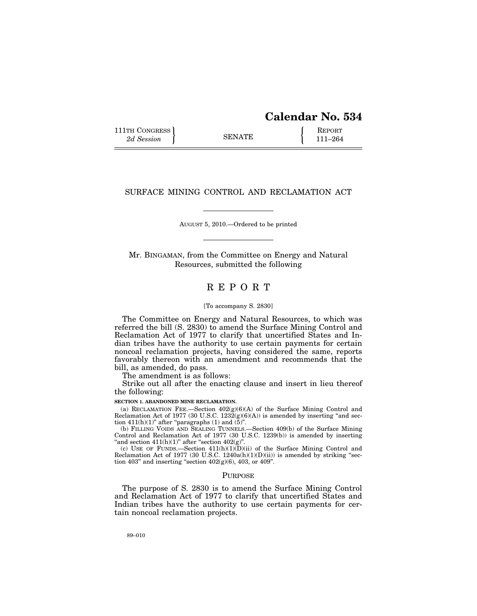| <b>Calendar No. 534</b> |  |  |
|-------------------------|--|--|
|-------------------------|--|--|

111TH CONGRESS **REPORT** 2d Session **111 EXECUTE 111–264** 

# SURFACE MINING CONTROL AND RECLAMATION ACT

AUGUST 5, 2010.—Ordered to be printed

Mr. BINGAMAN, from the Committee on Energy and Natural Resources, submitted the following

# R E P O R T

#### [To accompany S. 2830]

The Committee on Energy and Natural Resources, to which was referred the bill (S. 2830) to amend the Surface Mining Control and Reclamation Act of 1977 to clarify that uncertified States and Indian tribes have the authority to use certain payments for certain noncoal reclamation projects, having considered the same, reports favorably thereon with an amendment and recommends that the bill, as amended, do pass.

The amendment is as follows:

Strike out all after the enacting clause and insert in lieu thereof the following:

#### **SECTION 1. ABANDONED MINE RECLAMATION.**

(a) RECLAMATION FEE.—Section  $402(g)(6)(A)$  of the Surface Mining Control and Reclamation Act of 1977 (30 U.S.C. 1232 $(g)(6)(A)$ ) is amended by inserting "and section 411(h)(1)" after "paragraphs (1) and  $(\bar{5})$ ".

(b) FILLING VOIDS AND SEALING TUNNELS.—Section 409(b) of the Surface Mining Control and Reclamation Act of 1977 (30 U.S.C. 1239(b)) is amended by inserting "and section  $411(h)(1)$ " after "section  $402(g)$ ".

(c) USE OF FUNDS.—Section  $411(h)(1)(D)(ii)$  of the Surface Mining Control and Reclamation Act of 1977 (30 U.S.C. 1240a(h)(1)(D)(ii)) is amended by striking ''section 403" and inserting "section  $402(g)(6)$ , 403, or 409".

#### PURPOSE

The purpose of S. 2830 is to amend the Surface Mining Control and Reclamation Act of 1977 to clarify that uncertified States and Indian tribes have the authority to use certain payments for certain noncoal reclamation projects.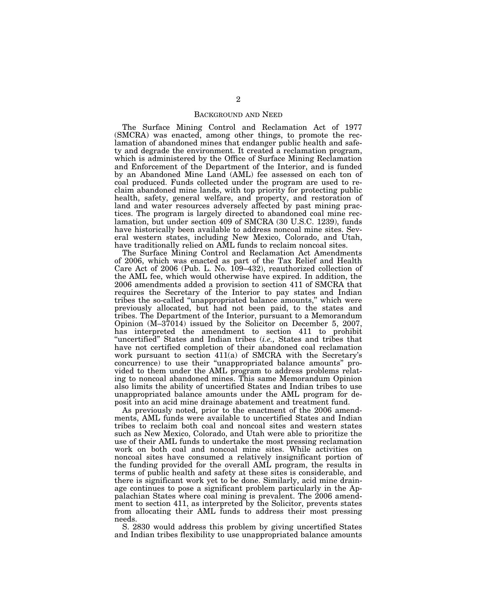### BACKGROUND AND NEED

The Surface Mining Control and Reclamation Act of 1977 (SMCRA) was enacted, among other things, to promote the reclamation of abandoned mines that endanger public health and safety and degrade the environment. It created a reclamation program, which is administered by the Office of Surface Mining Reclamation and Enforcement of the Department of the Interior, and is funded by an Abandoned Mine Land (AML) fee assessed on each ton of coal produced. Funds collected under the program are used to reclaim abandoned mine lands, with top priority for protecting public health, safety, general welfare, and property, and restoration of land and water resources adversely affected by past mining practices. The program is largely directed to abandoned coal mine reclamation, but under section 409 of SMCRA (30 U.S.C. 1239), funds have historically been available to address noncoal mine sites. Several western states, including New Mexico, Colorado, and Utah, have traditionally relied on AML funds to reclaim noncoal sites.

The Surface Mining Control and Reclamation Act Amendments of 2006, which was enacted as part of the Tax Relief and Health Care Act of 2006 (Pub. L. No. 109–432), reauthorized collection of the AML fee, which would otherwise have expired. In addition, the 2006 amendments added a provision to section 411 of SMCRA that requires the Secretary of the Interior to pay states and Indian tribes the so-called ''unappropriated balance amounts,'' which were previously allocated, but had not been paid, to the states and tribes. The Department of the Interior, pursuant to a Memorandum Opinion (M–37014) issued by the Solicitor on December 5, 2007, has interpreted the amendment to section 411 to prohibit "uncertified" States and Indian tribes (*i.e.*, States and tribes that have not certified completion of their abandoned coal reclamation work pursuant to section 411(a) of SMCRA with the Secretary's concurrence) to use their ''unappropriated balance amounts'' provided to them under the AML program to address problems relating to noncoal abandoned mines. This same Memorandum Opinion also limits the ability of uncertified States and Indian tribes to use unappropriated balance amounts under the AML program for deposit into an acid mine drainage abatement and treatment fund.

As previously noted, prior to the enactment of the 2006 amendments, AML funds were available to uncertified States and Indian tribes to reclaim both coal and noncoal sites and western states such as New Mexico, Colorado, and Utah were able to prioritize the use of their AML funds to undertake the most pressing reclamation work on both coal and noncoal mine sites. While activities on noncoal sites have consumed a relatively insignificant portion of the funding provided for the overall AML program, the results in terms of public health and safety at these sites is considerable, and there is significant work yet to be done. Similarly, acid mine drainage continues to pose a significant problem particularly in the Appalachian States where coal mining is prevalent. The 2006 amendment to section 411, as interpreted by the Solicitor, prevents states from allocating their AML funds to address their most pressing needs.

S. 2830 would address this problem by giving uncertified States and Indian tribes flexibility to use unappropriated balance amounts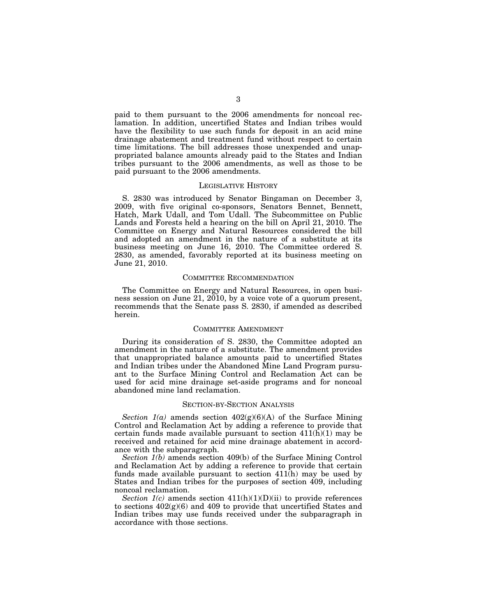paid to them pursuant to the 2006 amendments for noncoal reclamation. In addition, uncertified States and Indian tribes would have the flexibility to use such funds for deposit in an acid mine drainage abatement and treatment fund without respect to certain time limitations. The bill addresses those unexpended and unappropriated balance amounts already paid to the States and Indian tribes pursuant to the 2006 amendments, as well as those to be paid pursuant to the 2006 amendments.

#### LEGISLATIVE HISTORY

S. 2830 was introduced by Senator Bingaman on December 3, 2009, with five original co-sponsors, Senators Bennet, Bennett, Hatch, Mark Udall, and Tom Udall. The Subcommittee on Public Lands and Forests held a hearing on the bill on April 21, 2010. The Committee on Energy and Natural Resources considered the bill and adopted an amendment in the nature of a substitute at its business meeting on June 16, 2010. The Committee ordered S. 2830, as amended, favorably reported at its business meeting on June 21, 2010.

## COMMITTEE RECOMMENDATION

The Committee on Energy and Natural Resources, in open business session on June 21, 2010, by a voice vote of a quorum present, recommends that the Senate pass S. 2830, if amended as described herein.

#### COMMITTEE AMENDMENT

During its consideration of S. 2830, the Committee adopted an amendment in the nature of a substitute. The amendment provides that unappropriated balance amounts paid to uncertified States and Indian tribes under the Abandoned Mine Land Program pursuant to the Surface Mining Control and Reclamation Act can be used for acid mine drainage set-aside programs and for noncoal abandoned mine land reclamation.

## SECTION-BY-SECTION ANALYSIS

*Section*  $1(a)$  amends section  $402(g)(6)(A)$  of the Surface Mining Control and Reclamation Act by adding a reference to provide that certain funds made available pursuant to section  $411(\bar{h})(1)$  may be received and retained for acid mine drainage abatement in accordance with the subparagraph.

*Section 1(b)* amends section 409(b) of the Surface Mining Control and Reclamation Act by adding a reference to provide that certain funds made available pursuant to section 411(h) may be used by States and Indian tribes for the purposes of section 409, including noncoal reclamation.

*Section 1(c)* amends section  $411(h)(1)(D)(ii)$  to provide references to sections  $402(g)(6)$  and  $409$  to provide that uncertified States and Indian tribes may use funds received under the subparagraph in accordance with those sections.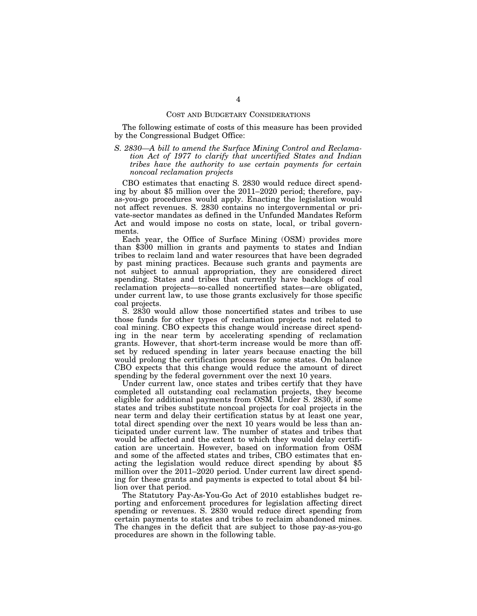#### COST AND BUDGETARY CONSIDERATIONS

The following estimate of costs of this measure has been provided by the Congressional Budget Office:

*S. 2830—A bill to amend the Surface Mining Control and Reclamation Act of 1977 to clarify that uncertified States and Indian tribes have the authority to use certain payments for certain noncoal reclamation projects* 

CBO estimates that enacting S. 2830 would reduce direct spending by about \$5 million over the 2011–2020 period; therefore, payas-you-go procedures would apply. Enacting the legislation would not affect revenues. S. 2830 contains no intergovernmental or private-sector mandates as defined in the Unfunded Mandates Reform Act and would impose no costs on state, local, or tribal governments.

Each year, the Office of Surface Mining (OSM) provides more than \$300 million in grants and payments to states and Indian tribes to reclaim land and water resources that have been degraded by past mining practices. Because such grants and payments are not subject to annual appropriation, they are considered direct spending. States and tribes that currently have backlogs of coal reclamation projects—so-called noncertified states—are obligated, under current law, to use those grants exclusively for those specific coal projects.

S. 2830 would allow those noncertified states and tribes to use those funds for other types of reclamation projects not related to coal mining. CBO expects this change would increase direct spending in the near term by accelerating spending of reclamation grants. However, that short-term increase would be more than offset by reduced spending in later years because enacting the bill would prolong the certification process for some states. On balance CBO expects that this change would reduce the amount of direct spending by the federal government over the next 10 years.

Under current law, once states and tribes certify that they have completed all outstanding coal reclamation projects, they become eligible for additional payments from OSM. Under S. 2830, if some states and tribes substitute noncoal projects for coal projects in the near term and delay their certification status by at least one year, total direct spending over the next 10 years would be less than anticipated under current law. The number of states and tribes that would be affected and the extent to which they would delay certification are uncertain. However, based on information from OSM and some of the affected states and tribes, CBO estimates that enacting the legislation would reduce direct spending by about \$5 million over the 2011–2020 period. Under current law direct spending for these grants and payments is expected to total about \$4 billion over that period.

The Statutory Pay-As-You-Go Act of 2010 establishes budget reporting and enforcement procedures for legislation affecting direct spending or revenues. S. 2830 would reduce direct spending from certain payments to states and tribes to reclaim abandoned mines. The changes in the deficit that are subject to those pay-as-you-go procedures are shown in the following table.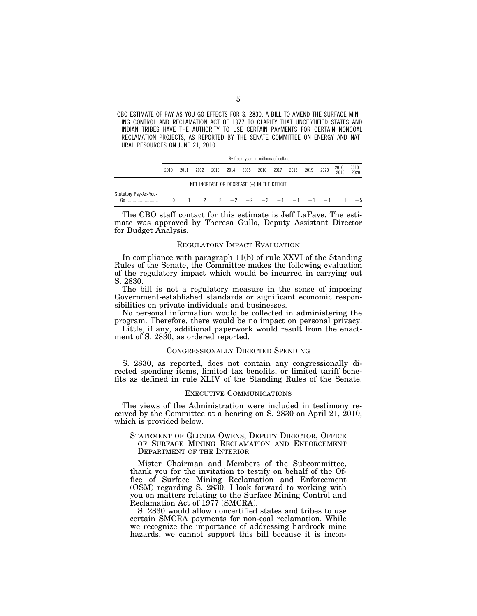CBO ESTIMATE OF PAY-AS-YOU-GO EFFECTS FOR S. 2830, A BILL TO AMEND THE SURFACE MIN-ING CONTROL AND RECLAMATION ACT OF 1977 TO CLARIFY THAT UNCERTIFIED STATES AND INDIAN TRIBES HAVE THE AUTHORITY TO USE CERTAIN PAYMENTS FOR CERTAIN NONCOAL RECLAMATION PROJECTS, AS REPORTED BY THE SENATE COMMITTEE ON ENERGY AND NAT-URAL RESOURCES ON JUNE 21, 2010

|                                             | By fiscal year, in millions of dollars- |      |      |      |      |                                  |      |      |      |      |      |                  |                  |
|---------------------------------------------|-----------------------------------------|------|------|------|------|----------------------------------|------|------|------|------|------|------------------|------------------|
|                                             | 2010                                    | 2011 | 2012 | 2013 | 2014 | 2015                             | 2016 | 2017 | 2018 | 2019 | 2020 | $2010 -$<br>2015 | $2010 -$<br>2020 |
| NET INCREASE OR DECREASE (-) IN THE DEFICIT |                                         |      |      |      |      |                                  |      |      |      |      |      |                  |                  |
| Statutory Pay-As-You-<br>Go                 |                                         |      |      |      |      | 2  2  -2  -2  -2  -1  -1  -1  -1 |      |      |      |      |      |                  | $-5$             |

The CBO staff contact for this estimate is Jeff LaFave. The estimate was approved by Theresa Gullo, Deputy Assistant Director for Budget Analysis.

#### REGULATORY IMPACT EVALUATION

In compliance with paragraph 11(b) of rule XXVI of the Standing Rules of the Senate, the Committee makes the following evaluation of the regulatory impact which would be incurred in carrying out S. 2830.

The bill is not a regulatory measure in the sense of imposing Government-established standards or significant economic responsibilities on private individuals and businesses.

No personal information would be collected in administering the program. Therefore, there would be no impact on personal privacy.

Little, if any, additional paperwork would result from the enactment of S. 2830, as ordered reported.

### CONGRESSIONALLY DIRECTED SPENDING

S. 2830, as reported, does not contain any congressionally directed spending items, limited tax benefits, or limited tariff benefits as defined in rule XLIV of the Standing Rules of the Senate.

## EXECUTIVE COMMUNICATIONS

The views of the Administration were included in testimony received by the Committee at a hearing on S. 2830 on April 21, 2010, which is provided below.

STATEMENT OF GLENDA OWENS, DEPUTY DIRECTOR, OFFICE OF SURFACE MINING RECLAMATION AND ENFORCEMENT DEPARTMENT OF THE INTERIOR

Mister Chairman and Members of the Subcommittee, thank you for the invitation to testify on behalf of the Office of Surface Mining Reclamation and Enforcement (OSM) regarding S. 2830. I look forward to working with you on matters relating to the Surface Mining Control and Reclamation Act of 1977 (SMCRA).

S. 2830 would allow noncertified states and tribes to use certain SMCRA payments for non-coal reclamation. While we recognize the importance of addressing hardrock mine hazards, we cannot support this bill because it is incon-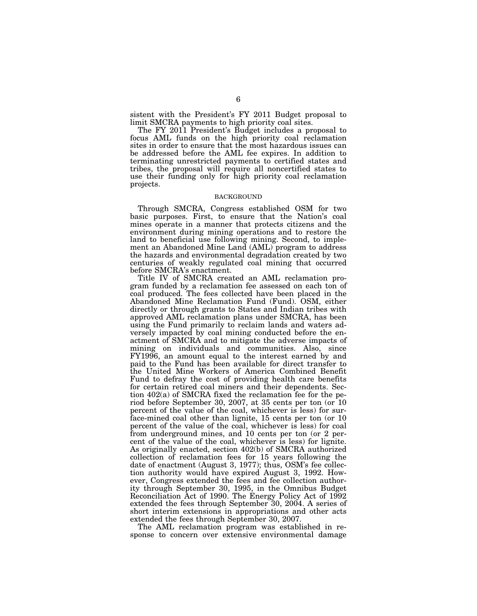sistent with the President's FY 2011 Budget proposal to limit SMCRA payments to high priority coal sites.

The FY 2011 President's Budget includes a proposal to focus AML funds on the high priority coal reclamation sites in order to ensure that the most hazardous issues can be addressed before the AML fee expires. In addition to terminating unrestricted payments to certified states and tribes, the proposal will require all noncertified states to use their funding only for high priority coal reclamation projects.

#### BACKGROUND

Through SMCRA, Congress established OSM for two basic purposes. First, to ensure that the Nation's coal mines operate in a manner that protects citizens and the environment during mining operations and to restore the land to beneficial use following mining. Second, to implement an Abandoned Mine Land (AML) program to address the hazards and environmental degradation created by two centuries of weakly regulated coal mining that occurred before SMCRA's enactment.

Title IV of SMCRA created an AML reclamation program funded by a reclamation fee assessed on each ton of coal produced. The fees collected have been placed in the Abandoned Mine Reclamation Fund (Fund). OSM, either directly or through grants to States and Indian tribes with approved AML reclamation plans under SMCRA, has been using the Fund primarily to reclaim lands and waters adversely impacted by coal mining conducted before the enactment of SMCRA and to mitigate the adverse impacts of mining on individuals and communities. Also, since FY1996, an amount equal to the interest earned by and paid to the Fund has been available for direct transfer to the United Mine Workers of America Combined Benefit Fund to defray the cost of providing health care benefits for certain retired coal miners and their dependents. Section 402(a) of SMCRA fixed the reclamation fee for the period before September 30, 2007, at 35 cents per ton (or 10 percent of the value of the coal, whichever is less) for surface-mined coal other than lignite, 15 cents per ton (or 10 percent of the value of the coal, whichever is less) for coal from underground mines, and 10 cents per ton (or 2 percent of the value of the coal, whichever is less) for lignite. As originally enacted, section 402(b) of SMCRA authorized collection of reclamation fees for 15 years following the date of enactment (August 3, 1977); thus, OSM's fee collection authority would have expired August 3, 1992. However, Congress extended the fees and fee collection authority through September 30, 1995, in the Omnibus Budget Reconciliation Act of 1990. The Energy Policy Act of 1992 extended the fees through September 30, 2004. A series of short interim extensions in appropriations and other acts extended the fees through September 30, 2007.

The AML reclamation program was established in response to concern over extensive environmental damage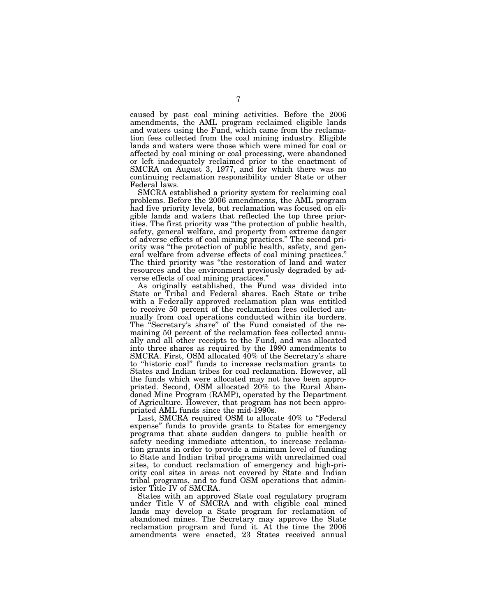caused by past coal mining activities. Before the 2006 amendments, the AML program reclaimed eligible lands and waters using the Fund, which came from the reclamation fees collected from the coal mining industry. Eligible lands and waters were those which were mined for coal or affected by coal mining or coal processing, were abandoned or left inadequately reclaimed prior to the enactment of SMCRA on August 3, 1977, and for which there was no continuing reclamation responsibility under State or other Federal laws.

SMCRA established a priority system for reclaiming coal problems. Before the 2006 amendments, the AML program had five priority levels, but reclamation was focused on eligible lands and waters that reflected the top three priorities. The first priority was ''the protection of public health, safety, general welfare, and property from extreme danger of adverse effects of coal mining practices.'' The second priority was ''the protection of public health, safety, and general welfare from adverse effects of coal mining practices.'' The third priority was ''the restoration of land and water resources and the environment previously degraded by adverse effects of coal mining practices.''

As originally established, the Fund was divided into State or Tribal and Federal shares. Each State or tribe with a Federally approved reclamation plan was entitled to receive 50 percent of the reclamation fees collected annually from coal operations conducted within its borders. The "Secretary's share" of the Fund consisted of the remaining 50 percent of the reclamation fees collected annually and all other receipts to the Fund, and was allocated into three shares as required by the 1990 amendments to SMCRA. First, OSM allocated 40% of the Secretary's share to "historic coal" funds to increase reclamation grants to States and Indian tribes for coal reclamation. However, all the funds which were allocated may not have been appropriated. Second, OSM allocated 20% to the Rural Abandoned Mine Program (RAMP), operated by the Department of Agriculture. However, that program has not been appropriated AML funds since the mid-1990s.

Last, SMCRA required OSM to allocate 40% to "Federal expense'' funds to provide grants to States for emergency programs that abate sudden dangers to public health or safety needing immediate attention, to increase reclamation grants in order to provide a minimum level of funding to State and Indian tribal programs with unreclaimed coal sites, to conduct reclamation of emergency and high-priority coal sites in areas not covered by State and Indian tribal programs, and to fund OSM operations that administer Title IV of SMCRA.

States with an approved State coal regulatory program under Title V of SMCRA and with eligible coal mined lands may develop a State program for reclamation of abandoned mines. The Secretary may approve the State reclamation program and fund it. At the time the 2006 amendments were enacted, 23 States received annual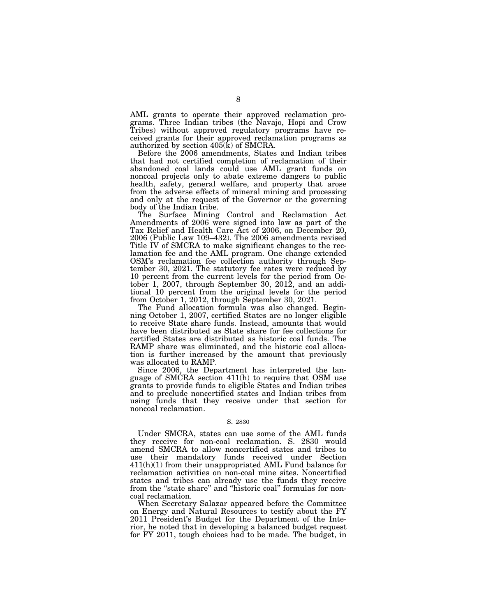AML grants to operate their approved reclamation programs. Three Indian tribes (the Navajo, Hopi and Crow Tribes) without approved regulatory programs have received grants for their approved reclamation programs as authorized by section  $405(k)$  of SMCRA.

Before the 2006 amendments, States and Indian tribes that had not certified completion of reclamation of their abandoned coal lands could use AML grant funds on noncoal projects only to abate extreme dangers to public health, safety, general welfare, and property that arose from the adverse effects of mineral mining and processing and only at the request of the Governor or the governing body of the Indian tribe.

The Surface Mining Control and Reclamation Act Amendments of 2006 were signed into law as part of the Tax Relief and Health Care Act of 2006, on December 20, 2006 (Public Law 109–432). The 2006 amendments revised Title IV of SMCRA to make significant changes to the reclamation fee and the AML program. One change extended OSM's reclamation fee collection authority through September 30, 2021. The statutory fee rates were reduced by 10 percent from the current levels for the period from October 1, 2007, through September 30, 2012, and an additional 10 percent from the original levels for the period from October 1, 2012, through September 30, 2021.

The Fund allocation formula was also changed. Beginning October 1, 2007, certified States are no longer eligible to receive State share funds. Instead, amounts that would have been distributed as State share for fee collections for certified States are distributed as historic coal funds. The RAMP share was eliminated, and the historic coal allocation is further increased by the amount that previously was allocated to RAMP.

Since 2006, the Department has interpreted the language of SMCRA section 411(h) to require that OSM use grants to provide funds to eligible States and Indian tribes and to preclude noncertified states and Indian tribes from using funds that they receive under that section for noncoal reclamation.

#### S. 2830

Under SMCRA, states can use some of the AML funds they receive for non-coal reclamation. S. 2830 would amend SMCRA to allow noncertified states and tribes to use their mandatory funds received under Section 411(h)(1) from their unappropriated AML Fund balance for reclamation activities on non-coal mine sites. Noncertified states and tribes can already use the funds they receive from the "state share" and "historic coal" formulas for noncoal reclamation.

When Secretary Salazar appeared before the Committee on Energy and Natural Resources to testify about the FY 2011 President's Budget for the Department of the Interior, he noted that in developing a balanced budget request for FY 2011, tough choices had to be made. The budget, in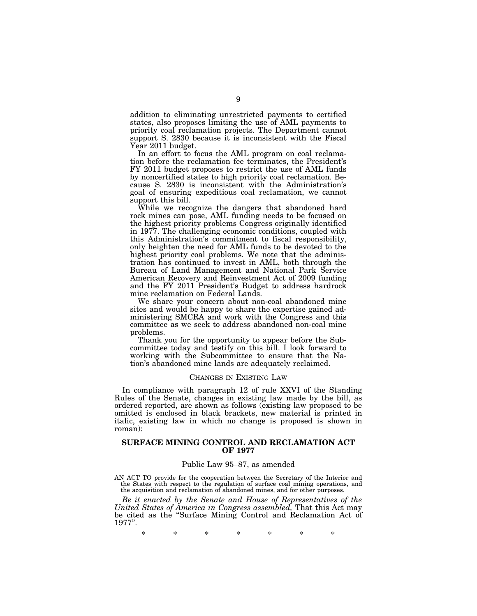addition to eliminating unrestricted payments to certified states, also proposes limiting the use of AML payments to priority coal reclamation projects. The Department cannot support S. 2830 because it is inconsistent with the Fiscal Year 2011 budget.

In an effort to focus the AML program on coal reclamation before the reclamation fee terminates, the President's FY 2011 budget proposes to restrict the use of AML funds by noncertified states to high priority coal reclamation. Because S. 2830 is inconsistent with the Administration's goal of ensuring expeditious coal reclamation, we cannot support this bill.

While we recognize the dangers that abandoned hard rock mines can pose, AML funding needs to be focused on the highest priority problems Congress originally identified in 1977. The challenging economic conditions, coupled with this Administration's commitment to fiscal responsibility, only heighten the need for AML funds to be devoted to the highest priority coal problems. We note that the administration has continued to invest in AML, both through the Bureau of Land Management and National Park Service American Recovery and Reinvestment Act of 2009 funding and the FY 2011 President's Budget to address hardrock mine reclamation on Federal Lands.

We share your concern about non-coal abandoned mine sites and would be happy to share the expertise gained administering SMCRA and work with the Congress and this committee as we seek to address abandoned non-coal mine problems.

Thank you for the opportunity to appear before the Subcommittee today and testify on this bill. I look forward to working with the Subcommittee to ensure that the Nation's abandoned mine lands are adequately reclaimed.

#### CHANGES IN EXISTING LAW

In compliance with paragraph 12 of rule XXVI of the Standing Rules of the Senate, changes in existing law made by the bill, as ordered reported, are shown as follows (existing law proposed to be omitted is enclosed in black brackets, new material is printed in italic, existing law in which no change is proposed is shown in roman):

## **SURFACE MINING CONTROL AND RECLAMATION ACT OF 1977**

# Public Law 95–87, as amended

AN ACT TO provide for the cooperation between the Secretary of the Interior and the States with respect to the regulation of surface coal mining operations, and the acquisition and reclamation of abandoned mines, and for other purposes.

*Be it enacted by the Senate and House of Representatives of the United States of America in Congress assembled,* That this Act may be cited as the ''Surface Mining Control and Reclamation Act of 1977''.

\* \* \* \* \* \* \*